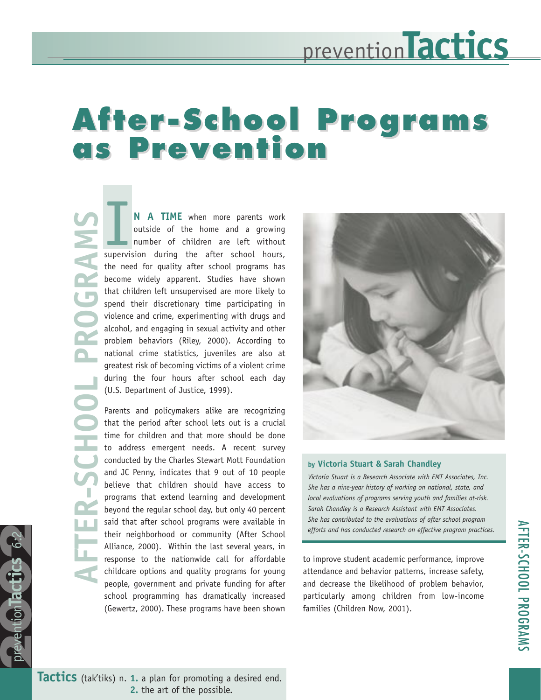#### **After-School Programs as Prevention After-School Programs as Prevention**

**AFTER-SCHOOL PROGRAMSROGRAM** 

prevention actics

prevention**Tactics** 6:2

**3** 

**N A TIME** when more parents work outside of the home and a growing number of children are left without **N A TIME** when more parents work<br>outside of the home and a growing<br>number of children are left without<br>supervision during the after school hours, the need for quality after school programs has become widely apparent. Studies have shown that children left unsupervised are more likely to spend their discretionary time participating in violence and crime, experimenting with drugs and alcohol, and engaging in sexual activity and other problem behaviors (Riley, 2000). According to national crime statistics, juveniles are also at greatest risk of becoming victims of a violent crime during the four hours after school each day (U.S. Department of Justice, 1999).

Parents and policymakers alike are recognizing that the period after school lets out is a crucial time for children and that more should be done to address emergent needs. A recent survey conducted by the Charles Stewart Mott Foundation and JC Penny, indicates that 9 out of 10 people believe that children should have access to programs that extend learning and development beyond the regular school day, but only 40 percent said that after school programs were available in their neighborhood or community (After School Alliance, 2000). Within the last several years, in response to the nationwide call for affordable childcare options and quality programs for young people, government and private funding for after school programming has dramatically increased (Gewertz, 2000). These programs have been shown



#### **by Victoria Stuart & Sarah Chandley**

*Victoria Stuart is a Research Associate with EMT Associates, Inc. She has a nine-year history of working on national, state, and local evaluations of programs serving youth and families at-risk. Sarah Chandley is a Research Assistant with EMT Associates. She has contributed to the evaluations of after school program efforts and has conducted research on effective program practices.*

to improve student academic performance, improve attendance and behavior patterns, increase safety, and decrease the likelihood of problem behavior, particularly among children from low-income families (Children Now, 2001).

**Tactics** (tak'tiks) n. **1.** a plan for promoting a desired end. **2.** the art of the possible.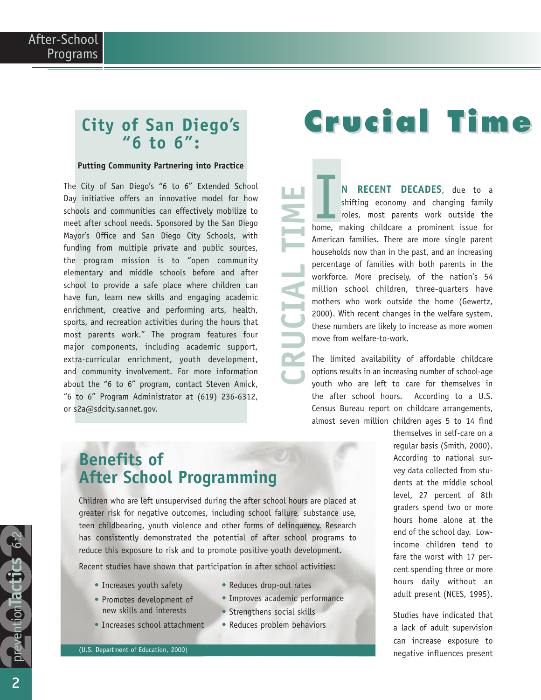### **City of San Diego's "6 to 6":**

#### **Putting Community Partnering into Practice**

The City of San Diego's "6 to 6" Extended School Day initiative offers an innovative model for how schools and communities can effectively mobilize to meet after school needs. Sponsored by the San Diego Mayor's Office and San Diego City Schools, with funding from multiple private and public sources, the program mission is to "open community elementary and middle schools before and after school to provide a safe place where children can have fun, learn new skills and engaging academic enrichment, creative and performing arts, health, sports, and recreation activities during the hours that most parents work." The program features four major components, including academic support, extra-curricular enrichment, youth development, and community involvement. For more information about the "6 to 6" program, contact Steven Amick, "6 to 6" Program Administrator at (619) 236-6312, or s2a@sdcity.sannet.gov.

# **Crucial Time**

**N RECENT DECADES**, due to a shifting economy and changing family roles, most parents work outside the **N RECENT DECADES**, due to a shifting economy and changing family roles, most parents work outside the home, making childcare a prominent issue for American families. There are more single parent households now than in the past, and an increasing percentage of families with both parents in the workforce. More precisely, of the nation's 54 million school children, three-quarters have mothers who work outside the home (Gewertz, 2000). With recent changes in the welfare system, these numbers are likely to increase as more women move from welfare-to-work.

The limited availability of affordable childcare options results in an increasing number of school-age youth who are left to care for themselves in the after school hours. According to a U.S. Census Bureau report on childcare arrangements, almost seven million children ages 5 to 14 find

### **Benefits of After School Programming**

Children who are left unsupervised during the after school hours are placed at greater risk for negative outcomes, including school failure, substance use, teen childbearing, youth violence and other forms of delinquency. Research has consistently demonstrated the potential of after school programs to reduce this exposure to risk and to promote positive youth development.

Recent studies have shown that participation in after school activities:

- Increases youth safety
- Promotes development of new skills and interests
- Increases school attachment
- Reduces drop-out rates
- Improves academic performance

**CRUCIAL TIME**

**CRUCIAL TIME** 

- Strengthens social skills
- Reduces problem behaviors

themselves in self-care on a regular basis (Smith, 2000). According to national survey data collected from students at the middle school level, 27 percent of 8th graders spend two or more hours home alone at the end of the school day. Lowincome children tend to fare the worst with 17 percent spending three or more hours daily without an adult present (NCES, 1995).

Studies have indicated that a lack of adult supervision can increase exposure to negative influences present

prevention actics

prevention**Tactics** 6:2

**3**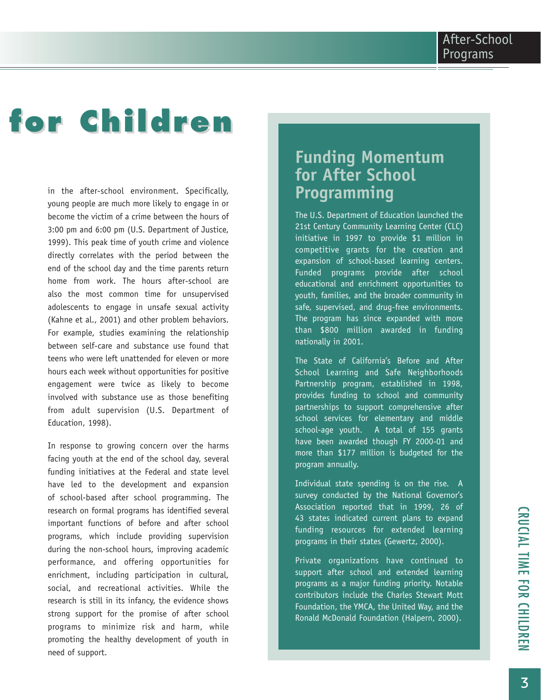# **for Children for Children**

in the after-school environment. Specifically, young people are much more likely to engage in or become the victim of a crime between the hours of 3:00 pm and 6:00 pm (U.S. Department of Justice, 1999). This peak time of youth crime and violence directly correlates with the period between the end of the school day and the time parents return home from work. The hours after-school are also the most common time for unsupervised adolescents to engage in unsafe sexual activity (Kahne et al., 2001) and other problem behaviors. For example, studies examining the relationship between self-care and substance use found that teens who were left unattended for eleven or more hours each week without opportunities for positive engagement were twice as likely to become involved with substance use as those benefiting from adult supervision (U.S. Department of Education, 1998).

In response to growing concern over the harms facing youth at the end of the school day, several funding initiatives at the Federal and state level have led to the development and expansion of school-based after school programming. The research on formal programs has identified several important functions of before and after school programs, which include providing supervision during the non-school hours, improving academic performance, and offering opportunities for enrichment, including participation in cultural, social, and recreational activities. While the research is still in its infancy, the evidence shows strong support for the promise of after school programs to minimize risk and harm, while promoting the healthy development of youth in need of support.

### **Funding Momentum for After School Programming**

The U.S. Department of Education launched the 21st Century Community Learning Center (CLC) initiative in 1997 to provide \$1 million in competitive grants for the creation and expansion of school-based learning centers. Funded programs provide after school educational and enrichment opportunities to youth, families, and the broader community in safe, supervised, and drug-free environments. The program has since expanded with more than \$800 million awarded in funding nationally in 2001.

The State of California's Before and After School Learning and Safe Neighborhoods Partnership program, established in 1998, provides funding to school and community partnerships to support comprehensive after school services for elementary and middle school-age youth. A total of 155 grants have been awarded though FY 2000-01 and more than \$177 million is budgeted for the program annually.

Individual state spending is on the rise. A survey conducted by the National Governor's Association reported that in 1999, 26 of 43 states indicated current plans to expand funding resources for extended learning programs in their states (Gewertz, 2000).

Private organizations have continued to support after school and extended learning programs as a major funding priority. Notable contributors include the Charles Stewart Mott Foundation, the YMCA, the United Way, and the Ronald McDonald Foundation (Halpern, 2000).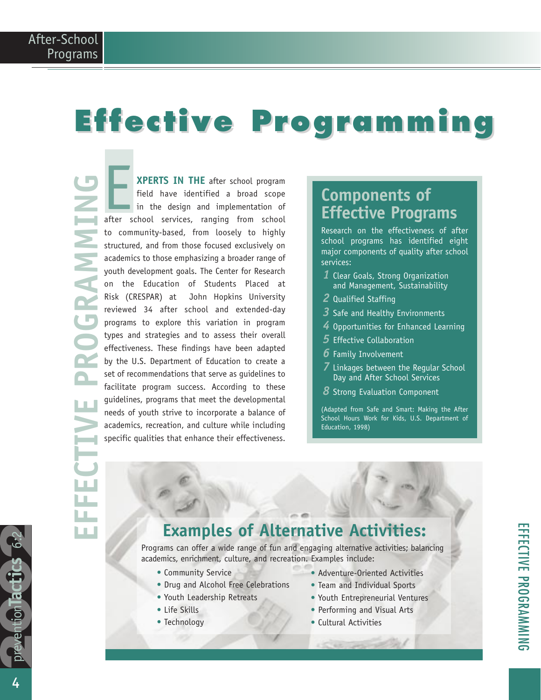# **Effective Programming Effective Programming**

**EFFECTIVE PROGRAMMING** l n f 

**XPERTS IN THE** after school program field have identified a broad scope in the design and implementation of after school services, ranging from school to community-based, from loosely to highly structured, and from those focused exclusively on academics to those emphasizing a broader range of youth development goals. The Center for Research on the Education of Students Placed at Risk (CRESPAR) at John Hopkins University reviewed 34 after school and extended-day programs to explore this variation in program types and strategies and to assess their overall effectiveness. These findings have been adapted by the U.S. Department of Education to create a set of recommendations that serve as guidelines to facilitate program success. According to these guidelines, programs that meet the developmental needs of youth strive to incorporate a balance of academics, recreation, and culture while including specific qualities that enhance their effectiveness. **EXPERTS IN THE** after school program<br>
field have identified a broad scope<br>
in the design and implementation of<br>
after school services, ranging from school<br> **Effective Program** 

## **Effective Programs**

Research on the effectiveness of after school programs has identified eight major components of quality after school services:

- *1* Clear Goals, Strong Organization and Management, Sustainability
- *2* Qualified Staffing
- *3* Safe and Healthy Environments
- *4* Opportunities for Enhanced Learning
- *5* Effective Collaboration
- *6* Family Involvement
- *7* Linkages between the Regular School Day and After School Services
- *8* Strong Evaluation Component

(Adapted from Safe and Smart: Making the After School Hours Work for Kids, U.S. Department of Education, 1998)

## **Examples of Alternative Activities:**

Programs can offer a wide range of fun and engaging alternative activities; balancing academics, enrichment, culture, and recreation. Examples include:

- Community Service
- Drug and Alcohol Free Celebrations
- Youth Leadership Retreats
- Life Skills
- Technology
- Adventure-Oriented Activities
- Team and Individual Sports
- Youth Entrepreneurial Ventures
- Performing and Visual Arts
- Cultural Activities

4

prevention lactics

prevention**Tactics** 6:2

**3**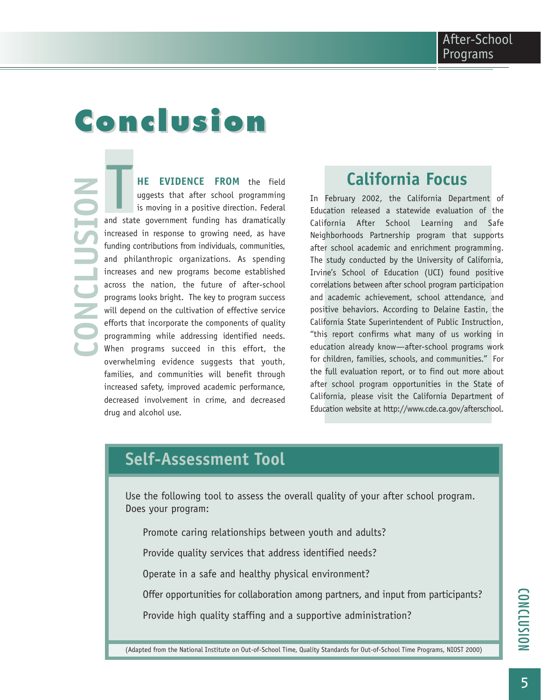## **Conclusion Conclusion**

**CONCLUSION SATCE** 

**HE EVIDENCE FROM** the field uggests that after school programming is moving in a positive direction. Federal **HE EVIDENCE FROM** the field uggests that after school programming is moving in a positive direction. Federal and state government funding has dramatically increased in response to growing need, as have funding contributions from individuals, communities, and philanthropic organizations. As spending increases and new programs become established across the nation, the future of after-school programs looks bright. The key to program success will depend on the cultivation of effective service efforts that incorporate the components of quality programming while addressing identified needs. When programs succeed in this effort, the overwhelming evidence suggests that youth, families, and communities will benefit through increased safety, improved academic performance, decreased involvement in crime, and decreased drug and alcohol use.

### **California Focus**

In February 2002, the California Department of Education released a statewide evaluation of the California After School Learning and Safe Neighborhoods Partnership program that supports after school academic and enrichment programming. The study conducted by the University of California, Irvine's School of Education (UCI) found positive correlations between after school program participation and academic achievement, school attendance, and positive behaviors. According to Delaine Eastin, the California State Superintendent of Public Instruction, "this report confirms what many of us working in education already know—after-school programs work for children, families, schools, and communities." For the full evaluation report, or to find out more about after school program opportunities in the State of California, please visit the California Department of Education website at http://www.cde.ca.gov/afterschool.

### **Self-Assessment Tool**

Use the following tool to assess the overall quality of your after school program. Does your program:

Promote caring relationships between youth and adults?

Provide quality services that address identified needs?

Operate in a safe and healthy physical environment?

Offer opportunities for collaboration among partners, and input from participants?

Provide high quality staffing and a supportive administration?

(Adapted from the National Institute on Out-of-School Time, Quality Standards for Out-of-School Time Programs, NIOST 2000)